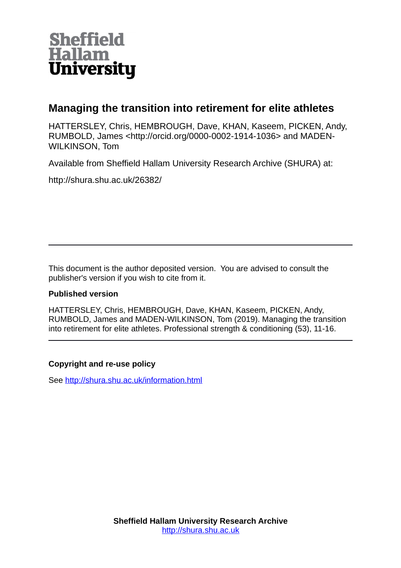

# **Managing the transition into retirement for elite athletes**

HATTERSLEY, Chris, HEMBROUGH, Dave, KHAN, Kaseem, PICKEN, Andy, RUMBOLD, James <http://orcid.org/0000-0002-1914-1036> and MADEN-WILKINSON, Tom

Available from Sheffield Hallam University Research Archive (SHURA) at:

http://shura.shu.ac.uk/26382/

This document is the author deposited version. You are advised to consult the publisher's version if you wish to cite from it.

# **Published version**

HATTERSLEY, Chris, HEMBROUGH, Dave, KHAN, Kaseem, PICKEN, Andy, RUMBOLD, James and MADEN-WILKINSON, Tom (2019). Managing the transition into retirement for elite athletes. Professional strength & conditioning (53), 11-16.

# **Copyright and re-use policy**

See<http://shura.shu.ac.uk/information.html>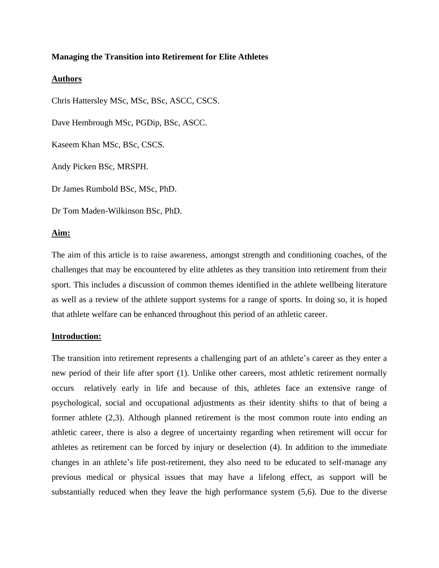#### **Managing the Transition into Retirement for Elite Athletes**

#### **Authors**

Chris Hattersley MSc, MSc, BSc, ASCC, CSCS. Dave Hembrough MSc, PGDip, BSc, ASCC. Kaseem Khan MSc, BSc, CSCS. Andy Picken BSc, MRSPH. Dr James Rumbold BSc, MSc, PhD. Dr Tom Maden-Wilkinson BSc, PhD.

## **Aim:**

The aim of this article is to raise awareness, amongst strength and conditioning coaches, of the challenges that may be encountered by elite athletes as they transition into retirement from their sport. This includes a discussion of common themes identified in the athlete wellbeing literature as well as a review of the athlete support systems for a range of sports. In doing so, it is hoped that athlete welfare can be enhanced throughout this period of an athletic career.

### **Introduction:**

The transition into retirement represents a challenging part of an athlete's career as they enter a new period of their life after sport (1). Unlike other careers, most athletic retirement normally occurs relatively early in life and because of this, athletes face an extensive range of psychological, social and occupational adjustments as their identity shifts to that of being a former athlete (2,3). Although planned retirement is the most common route into ending an athletic career, there is also a degree of uncertainty regarding when retirement will occur for athletes as retirement can be forced by injury or deselection (4). In addition to the immediate changes in an athlete's life post-retirement, they also need to be educated to self-manage any previous medical or physical issues that may have a lifelong effect, as support will be substantially reduced when they leave the high performance system (5,6). Due to the diverse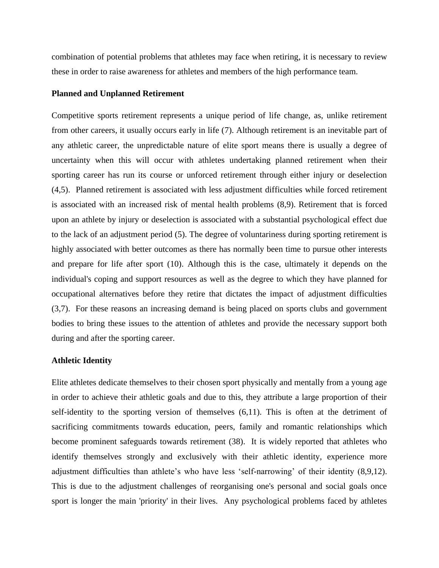combination of potential problems that athletes may face when retiring, it is necessary to review these in order to raise awareness for athletes and members of the high performance team.

#### **Planned and Unplanned Retirement**

Competitive sports retirement represents a unique period of life change, as, unlike retirement from other careers, it usually occurs early in life (7). Although retirement is an inevitable part of any athletic career, the unpredictable nature of elite sport means there is usually a degree of uncertainty when this will occur with athletes undertaking planned retirement when their sporting career has run its course or unforced retirement through either injury or deselection (4,5). Planned retirement is associated with less adjustment difficulties while forced retirement is associated with an increased risk of mental health problems (8,9). Retirement that is forced upon an athlete by injury or deselection is associated with a substantial psychological effect due to the lack of an adjustment period (5). The degree of voluntariness during sporting retirement is highly associated with better outcomes as there has normally been time to pursue other interests and prepare for life after sport (10). Although this is the case, ultimately it depends on the individual's coping and support resources as well as the degree to which they have planned for occupational alternatives before they retire that dictates the impact of adjustment difficulties (3,7). For these reasons an increasing demand is being placed on sports clubs and government bodies to bring these issues to the attention of athletes and provide the necessary support both during and after the sporting career.

#### **Athletic Identity**

Elite athletes dedicate themselves to their chosen sport physically and mentally from a young age in order to achieve their athletic goals and due to this, they attribute a large proportion of their self-identity to the sporting version of themselves (6,11). This is often at the detriment of sacrificing commitments towards education, peers, family and romantic relationships which become prominent safeguards towards retirement (38). It is widely reported that athletes who identify themselves strongly and exclusively with their athletic identity, experience more adjustment difficulties than athlete's who have less 'self-narrowing' of their identity (8,9,12). This is due to the adjustment challenges of reorganising one's personal and social goals once sport is longer the main 'priority' in their lives. Any psychological problems faced by athletes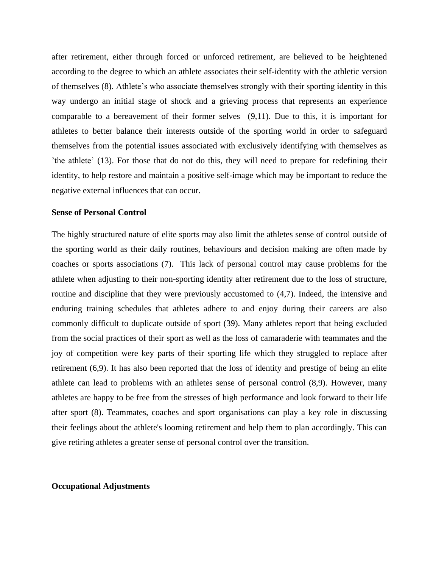after retirement, either through forced or unforced retirement, are believed to be heightened according to the degree to which an athlete associates their self-identity with the athletic version of themselves (8). Athlete's who associate themselves strongly with their sporting identity in this way undergo an initial stage of shock and a grieving process that represents an experience comparable to a bereavement of their former selves (9,11). Due to this, it is important for athletes to better balance their interests outside of the sporting world in order to safeguard themselves from the potential issues associated with exclusively identifying with themselves as 'the athlete' (13). For those that do not do this, they will need to prepare for redefining their identity, to help restore and maintain a positive self-image which may be important to reduce the negative external influences that can occur.

#### **Sense of Personal Control**

The highly structured nature of elite sports may also limit the athletes sense of control outside of the sporting world as their daily routines, behaviours and decision making are often made by coaches or sports associations (7). This lack of personal control may cause problems for the athlete when adjusting to their non-sporting identity after retirement due to the loss of structure, routine and discipline that they were previously accustomed to (4,7). Indeed, the intensive and enduring training schedules that athletes adhere to and enjoy during their careers are also commonly difficult to duplicate outside of sport (39). Many athletes report that being excluded from the social practices of their sport as well as the loss of camaraderie with teammates and the joy of competition were key parts of their sporting life which they struggled to replace after retirement (6,9). It has also been reported that the loss of identity and prestige of being an elite athlete can lead to problems with an athletes sense of personal control (8,9). However, many athletes are happy to be free from the stresses of high performance and look forward to their life after sport (8). Teammates, coaches and sport organisations can play a key role in discussing their feelings about the athlete's looming retirement and help them to plan accordingly. This can give retiring athletes a greater sense of personal control over the transition.

#### **Occupational Adjustments**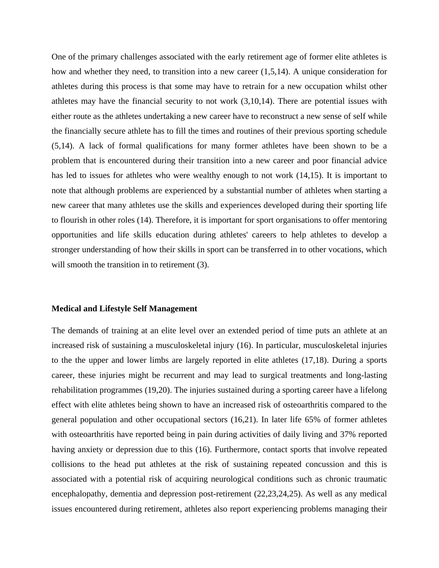One of the primary challenges associated with the early retirement age of former elite athletes is how and whether they need, to transition into a new career (1,5,14). A unique consideration for athletes during this process is that some may have to retrain for a new occupation whilst other athletes may have the financial security to not work  $(3,10,14)$ . There are potential issues with either route as the athletes undertaking a new career have to reconstruct a new sense of self while the financially secure athlete has to fill the times and routines of their previous sporting schedule (5,14). A lack of formal qualifications for many former athletes have been shown to be a problem that is encountered during their transition into a new career and poor financial advice has led to issues for athletes who were wealthy enough to not work  $(14,15)$ . It is important to note that although problems are experienced by a substantial number of athletes when starting a new career that many athletes use the skills and experiences developed during their sporting life to flourish in other roles (14). Therefore, it is important for sport organisations to offer mentoring opportunities and life skills education during athletes' careers to help athletes to develop a stronger understanding of how their skills in sport can be transferred in to other vocations, which will smooth the transition in to retirement (3).

#### **Medical and Lifestyle Self Management**

The demands of training at an elite level over an extended period of time puts an athlete at an increased risk of sustaining a musculoskeletal injury (16). In particular, musculoskeletal injuries to the the upper and lower limbs are largely reported in elite athletes (17,18). During a sports career, these injuries might be recurrent and may lead to surgical treatments and long-lasting rehabilitation programmes (19,20). The injuries sustained during a sporting career have a lifelong effect with elite athletes being shown to have an increased risk of osteoarthritis compared to the general population and other occupational sectors (16,21). In later life 65% of former athletes with osteoarthritis have reported being in pain during activities of daily living and 37% reported having anxiety or depression due to this (16). Furthermore, contact sports that involve repeated collisions to the head put athletes at the risk of sustaining repeated concussion and this is associated with a potential risk of acquiring neurological conditions such as chronic traumatic encephalopathy, dementia and depression post-retirement (22,23,24,25). As well as any medical issues encountered during retirement, athletes also report experiencing problems managing their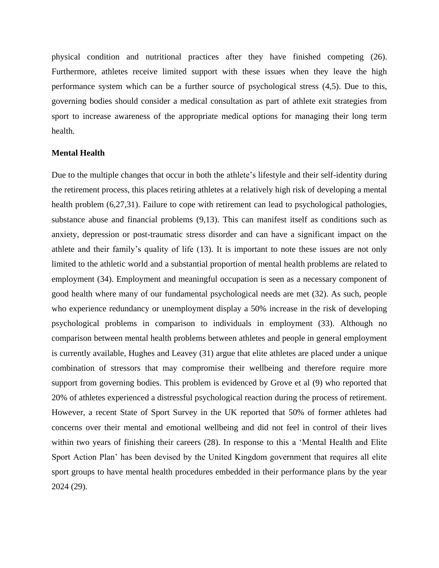physical condition and nutritional practices after they have finished competing (26). Furthermore, athletes receive limited support with these issues when they leave the high performance system which can be a further source of psychological stress (4,5). Due to this, governing bodies should consider a medical consultation as part of athlete exit strategies from sport to increase awareness of the appropriate medical options for managing their long term health.

#### **Mental Health**

Due to the multiple changes that occur in both the athlete's lifestyle and their self-identity during the retirement process, this places retiring athletes at a relatively high risk of developing a mental health problem (6,27,31). Failure to cope with retirement can lead to psychological pathologies, substance abuse and financial problems (9,13). This can manifest itself as conditions such as anxiety, depression or post-traumatic stress disorder and can have a significant impact on the athlete and their family's quality of life (13). It is important to note these issues are not only limited to the athletic world and a substantial proportion of mental health problems are related to employment (34). Employment and meaningful occupation is seen as a necessary component of good health where many of our fundamental psychological needs are met (32). As such, people who experience redundancy or unemployment display a 50% increase in the risk of developing psychological problems in comparison to individuals in employment (33). Although no comparison between mental health problems between athletes and people in general employment is currently available, Hughes and Leavey (31) argue that elite athletes are placed under a unique combination of stressors that may compromise their wellbeing and therefore require more support from governing bodies. This problem is evidenced by Grove et al (9) who reported that 20% of athletes experienced a distressful psychological reaction during the process of retirement. However, a recent State of Sport Survey in the UK reported that 50% of former athletes had concerns over their mental and emotional wellbeing and did not feel in control of their lives within two years of finishing their careers (28). In response to this a 'Mental Health and Elite Sport Action Plan' has been devised by the United Kingdom government that requires all elite sport groups to have mental health procedures embedded in their performance plans by the year 2024 (29).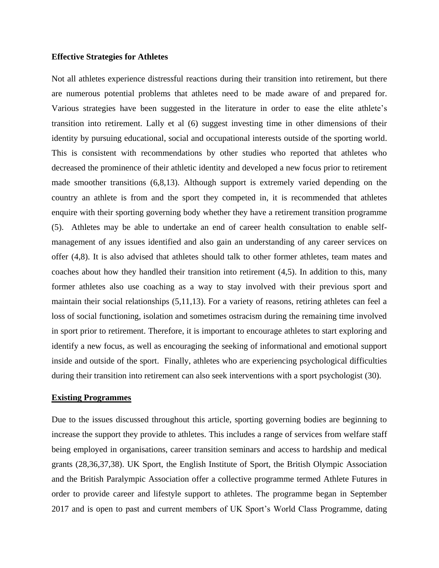#### **Effective Strategies for Athletes**

Not all athletes experience distressful reactions during their transition into retirement, but there are numerous potential problems that athletes need to be made aware of and prepared for. Various strategies have been suggested in the literature in order to ease the elite athlete's transition into retirement. Lally et al (6) suggest investing time in other dimensions of their identity by pursuing educational, social and occupational interests outside of the sporting world. This is consistent with recommendations by other studies who reported that athletes who decreased the prominence of their athletic identity and developed a new focus prior to retirement made smoother transitions (6,8,13). Although support is extremely varied depending on the country an athlete is from and the sport they competed in, it is recommended that athletes enquire with their sporting governing body whether they have a retirement transition programme (5). Athletes may be able to undertake an end of career health consultation to enable selfmanagement of any issues identified and also gain an understanding of any career services on offer (4,8). It is also advised that athletes should talk to other former athletes, team mates and coaches about how they handled their transition into retirement (4,5). In addition to this, many former athletes also use coaching as a way to stay involved with their previous sport and maintain their social relationships (5,11,13). For a variety of reasons, retiring athletes can feel a loss of social functioning, isolation and sometimes ostracism during the remaining time involved in sport prior to retirement. Therefore, it is important to encourage athletes to start exploring and identify a new focus, as well as encouraging the seeking of informational and emotional support inside and outside of the sport. Finally, athletes who are experiencing psychological difficulties during their transition into retirement can also seek interventions with a sport psychologist (30).

#### **Existing Programmes**

Due to the issues discussed throughout this article, sporting governing bodies are beginning to increase the support they provide to athletes. This includes a range of services from welfare staff being employed in organisations, career transition seminars and access to hardship and medical grants (28,36,37,38). UK Sport, the English Institute of Sport, the British Olympic Association and the British Paralympic Association offer a collective programme termed Athlete Futures in order to provide career and lifestyle support to athletes. The programme began in September 2017 and is open to past and current members of UK Sport's World Class Programme, dating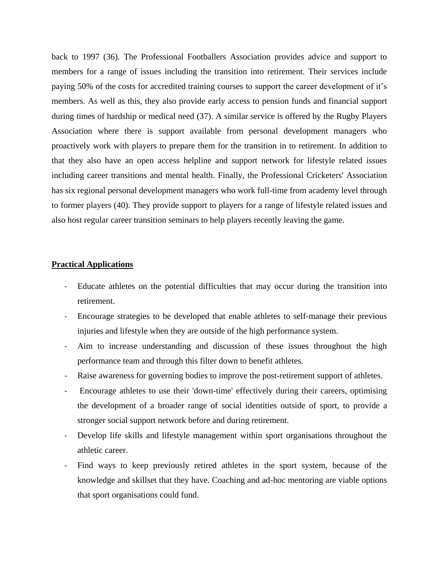back to 1997 (36). The Professional Footballers Association provides advice and support to members for a range of issues including the transition into retirement. Their services include paying 50% of the costs for accredited training courses to support the career development of it's members. As well as this, they also provide early access to pension funds and financial support during times of hardship or medical need (37). A similar service is offered by the Rugby Players Association where there is support available from personal development managers who proactively work with players to prepare them for the transition in to retirement. In addition to that they also have an open access helpline and support network for lifestyle related issues including career transitions and mental health. Finally, the Professional Cricketers' Association has six regional personal development managers who work full-time from academy level through to former players (40). They provide support to players for a range of lifestyle related issues and also host regular career transition seminars to help players recently leaving the game.

#### **Practical Applications**

- Educate athletes on the potential difficulties that may occur during the transition into retirement.
- Encourage strategies to be developed that enable athletes to self-manage their previous injuries and lifestyle when they are outside of the high performance system.
- Aim to increase understanding and discussion of these issues throughout the high performance team and through this filter down to benefit athletes.
- Raise awareness for governing bodies to improve the post-retirement support of athletes.
- Encourage athletes to use their 'down-time' effectively during their careers, optimising the development of a broader range of social identities outside of sport, to provide a stronger social support network before and during retirement.
- Develop life skills and lifestyle management within sport organisations throughout the athletic career.
- Find ways to keep previously retired athletes in the sport system, because of the knowledge and skillset that they have. Coaching and ad-hoc mentoring are viable options that sport organisations could fund.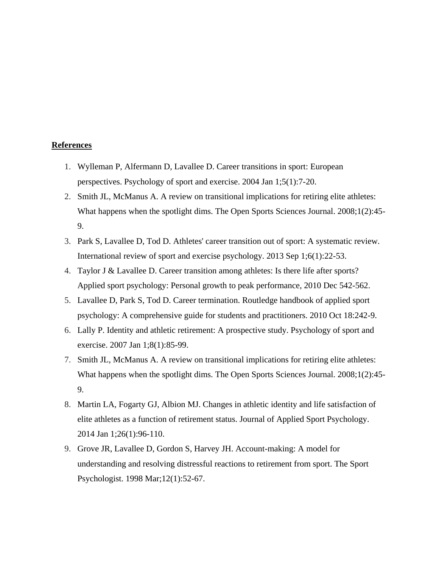#### **References**

- 1. Wylleman P, Alfermann D, Lavallee D. Career transitions in sport: European perspectives. Psychology of sport and exercise. 2004 Jan 1;5(1):7-20.
- 2. Smith JL, McManus A. A review on transitional implications for retiring elite athletes: What happens when the spotlight dims. The Open Sports Sciences Journal. 2008;1(2):45- 9.
- 3. Park S, Lavallee D, Tod D. Athletes' career transition out of sport: A systematic review. International review of sport and exercise psychology. 2013 Sep 1;6(1):22-53.
- 4. Taylor J & Lavallee D. Career transition among athletes: Is there life after sports? Applied sport psychology: Personal growth to peak performance, 2010 Dec 542-562.
- 5. Lavallee D, Park S, Tod D. Career termination. Routledge handbook of applied sport psychology: A comprehensive guide for students and practitioners. 2010 Oct 18:242-9.
- 6. Lally P. Identity and athletic retirement: A prospective study. Psychology of sport and exercise. 2007 Jan 1;8(1):85-99.
- 7. Smith JL, McManus A. A review on transitional implications for retiring elite athletes: What happens when the spotlight dims. The Open Sports Sciences Journal. 2008;1(2):45- 9.
- 8. Martin LA, Fogarty GJ, Albion MJ. Changes in athletic identity and life satisfaction of elite athletes as a function of retirement status. Journal of Applied Sport Psychology. 2014 Jan 1;26(1):96-110.
- 9. Grove JR, Lavallee D, Gordon S, Harvey JH. Account-making: A model for understanding and resolving distressful reactions to retirement from sport. The Sport Psychologist. 1998 Mar;12(1):52-67.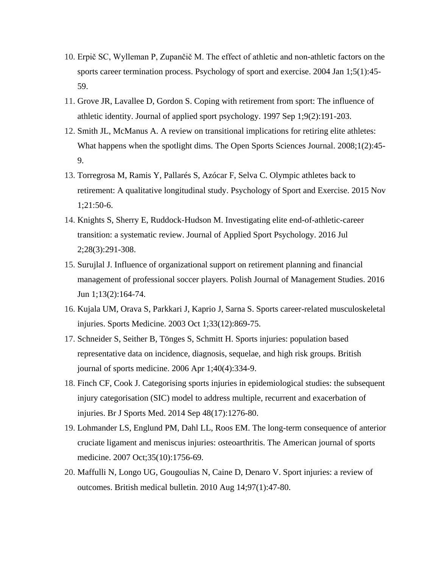- 10. Erpič SC, Wylleman P, Zupančič M. The effect of athletic and non-athletic factors on the sports career termination process. Psychology of sport and exercise. 2004 Jan 1;5(1):45- 59.
- 11. Grove JR, Lavallee D, Gordon S. Coping with retirement from sport: The influence of athletic identity. Journal of applied sport psychology. 1997 Sep 1;9(2):191-203.
- 12. Smith JL, McManus A. A review on transitional implications for retiring elite athletes: What happens when the spotlight dims. The Open Sports Sciences Journal. 2008;1(2):45- 9.
- 13. Torregrosa M, Ramis Y, Pallarés S, Azócar F, Selva C. Olympic athletes back to retirement: A qualitative longitudinal study. Psychology of Sport and Exercise. 2015 Nov 1;21:50-6.
- 14. Knights S, Sherry E, Ruddock-Hudson M. Investigating elite end-of-athletic-career transition: a systematic review. Journal of Applied Sport Psychology. 2016 Jul 2;28(3):291-308.
- 15. Surujlal J. Influence of organizational support on retirement planning and financial management of professional soccer players. Polish Journal of Management Studies. 2016 Jun 1;13(2):164-74.
- 16. Kujala UM, Orava S, Parkkari J, Kaprio J, Sarna S. Sports career-related musculoskeletal injuries. Sports Medicine. 2003 Oct 1;33(12):869-75.
- 17. Schneider S, Seither B, Tönges S, Schmitt H. Sports injuries: population based representative data on incidence, diagnosis, sequelae, and high risk groups. British journal of sports medicine. 2006 Apr 1;40(4):334-9.
- 18. Finch CF, Cook J. Categorising sports injuries in epidemiological studies: the subsequent injury categorisation (SIC) model to address multiple, recurrent and exacerbation of injuries. Br J Sports Med. 2014 Sep 48(17):1276-80.
- 19. Lohmander LS, Englund PM, Dahl LL, Roos EM. The long-term consequence of anterior cruciate ligament and meniscus injuries: osteoarthritis. The American journal of sports medicine. 2007 Oct;35(10):1756-69.
- 20. Maffulli N, Longo UG, Gougoulias N, Caine D, Denaro V. Sport injuries: a review of outcomes. British medical bulletin. 2010 Aug 14;97(1):47-80.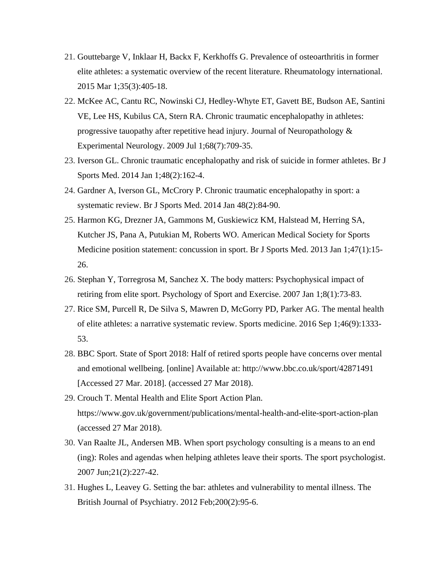- 21. Gouttebarge V, Inklaar H, Backx F, Kerkhoffs G. Prevalence of osteoarthritis in former elite athletes: a systematic overview of the recent literature. Rheumatology international. 2015 Mar 1;35(3):405-18.
- 22. McKee AC, Cantu RC, Nowinski CJ, Hedley-Whyte ET, Gavett BE, Budson AE, Santini VE, Lee HS, Kubilus CA, Stern RA. Chronic traumatic encephalopathy in athletes: progressive tauopathy after repetitive head injury. Journal of Neuropathology & Experimental Neurology. 2009 Jul 1;68(7):709-35.
- 23. Iverson GL. Chronic traumatic encephalopathy and risk of suicide in former athletes. Br J Sports Med. 2014 Jan 1;48(2):162-4.
- 24. Gardner A, Iverson GL, McCrory P. Chronic traumatic encephalopathy in sport: a systematic review. Br J Sports Med. 2014 Jan 48(2):84-90.
- 25. Harmon KG, Drezner JA, Gammons M, Guskiewicz KM, Halstead M, Herring SA, Kutcher JS, Pana A, Putukian M, Roberts WO. American Medical Society for Sports Medicine position statement: concussion in sport. Br J Sports Med. 2013 Jan 1;47(1):15- 26.
- 26. Stephan Y, Torregrosa M, Sanchez X. The body matters: Psychophysical impact of retiring from elite sport. Psychology of Sport and Exercise. 2007 Jan 1;8(1):73-83.
- 27. Rice SM, Purcell R, De Silva S, Mawren D, McGorry PD, Parker AG. The mental health of elite athletes: a narrative systematic review. Sports medicine. 2016 Sep 1;46(9):1333- 53.
- 28. BBC Sport. State of Sport 2018: Half of retired sports people have concerns over mental and emotional wellbeing. [online] Available at: http://www.bbc.co.uk/sport/42871491 [Accessed 27 Mar. 2018]. (accessed 27 Mar 2018).
- 29. Crouch T. Mental Health and Elite Sport Action Plan. https://www.gov.uk/government/publications/mental-health-and-elite-sport-action-plan (accessed 27 Mar 2018).
- 30. Van Raalte JL, Andersen MB. When sport psychology consulting is a means to an end (ing): Roles and agendas when helping athletes leave their sports. The sport psychologist. 2007 Jun;21(2):227-42.
- 31. Hughes L, Leavey G. Setting the bar: athletes and vulnerability to mental illness. The British Journal of Psychiatry. 2012 Feb;200(2):95-6.